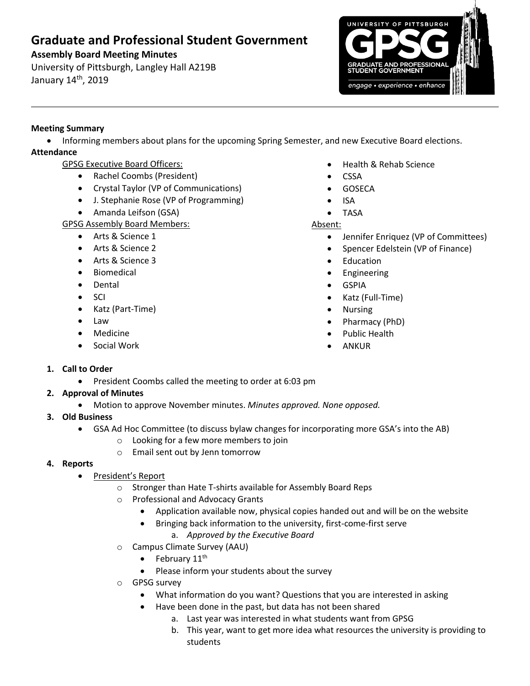# **Graduate and Professional Student Government**

## **Assembly Board Meeting Minutes**

University of Pittsburgh, Langley Hall A219B January 14<sup>th</sup>, 2019



## **Meeting Summary**

 Informing members about plans for the upcoming Spring Semester, and new Executive Board elections. **Attendance**

- GPSG Executive Board Officers:
	- Rachel Coombs (President)
	- Crystal Taylor (VP of Communications)
	- J. Stephanie Rose (VP of Programming)
	- Amanda Leifson (GSA)
- GPSG Assembly Board Members:
	- Arts & Science 1
	- Arts & Science 2
	- Arts & Science 3
	- **•** Biomedical
	- Dental
	- SCI
	- Katz (Part-Time)
	- Law
	- Medicine
	- Social Work
- Health & Rehab Science
- CSSA
- GOSECA
- ISA
- TASA

#### Absent:

- Jennifer Enriquez (VP of Committees)
- Spencer Edelstein (VP of Finance)
- Education
- **•** Engineering
- GSPIA
- Katz (Full-Time)
- Nursing
- Pharmacy (PhD)
- Public Health
- ANKUR

- **1. Call to Order**
	- President Coombs called the meeting to order at 6:03 pm

### **2. Approval of Minutes**

- Motion to approve November minutes. *Minutes approved. None opposed.*
- **3. Old Business**
	- GSA Ad Hoc Committee (to discuss bylaw changes for incorporating more GSA's into the AB)
		- o Looking for a few more members to join
		- o Email sent out by Jenn tomorrow

### **4. Reports**

- President's Report
	- o Stronger than Hate T-shirts available for Assembly Board Reps
	- o Professional and Advocacy Grants
		- Application available now, physical copies handed out and will be on the website
		- Bringing back information to the university, first-come-first serve
			- a. *Approved by the Executive Board*
	- o Campus Climate Survey (AAU)
		- $\bullet$  February 11<sup>th</sup>
		- Please inform your students about the survey
	- o GPSG survey
		- What information do you want? Questions that you are interested in asking
		- Have been done in the past, but data has not been shared
			- a. Last year was interested in what students want from GPSG
			- b. This year, want to get more idea what resources the university is providing to students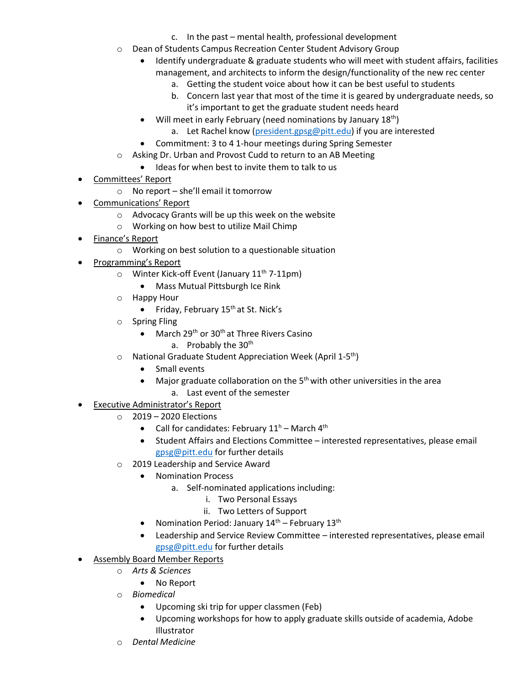- c. In the past mental health, professional development
- o Dean of Students Campus Recreation Center Student Advisory Group
	- Identify undergraduate & graduate students who will meet with student affairs, facilities management, and architects to inform the design/functionality of the new rec center
		- a. Getting the student voice about how it can be best useful to students
		- b. Concern last year that most of the time it is geared by undergraduate needs, so it's important to get the graduate student needs heard
	- Will meet in early February (need nominations by January  $18^{th}$ )
		- a. Let Rachel know [\(president.gpsg@pitt.edu\)](mailto:president.gpsg@pitt.edu) if you are interested
	- Commitment: 3 to 4 1-hour meetings during Spring Semester
- o Asking Dr. Urban and Provost Cudd to return to an AB Meeting
	- Ideas for when best to invite them to talk to us
- Committees' Report
	- o No report she'll email it tomorrow
- Communications' Report
	- o Advocacy Grants will be up this week on the website
	- o Working on how best to utilize Mail Chimp
- Finance's Report
	- o Working on best solution to a questionable situation
- Programming's Report
	- $\circ$  Winter Kick-off Event (January 11<sup>th</sup> 7-11pm)
		- Mass Mutual Pittsburgh Ice Rink
	- o Happy Hour
		- $\bullet$  Friday, February 15<sup>th</sup> at St. Nick's
	- o Spring Fling
		- March 29<sup>th</sup> or 30<sup>th</sup> at Three Rivers Casino
			- a. Probably the 30<sup>th</sup>
	- o National Graduate Student Appreciation Week (April 1-5<sup>th</sup>)
		- Small events
		- Major graduate collaboration on the  $5<sup>th</sup>$  with other universities in the area
			- a. Last event of the semester
- Executive Administrator's Report
	- o 2019 2020 Elections
		- Call for candidates: February  $11^h$  March  $4^{th}$
		- Student Affairs and Elections Committee interested representatives, please email [gpsg@pitt.edu](mailto:gpsg@pitt.edu) for further details
	- o 2019 Leadership and Service Award
		- Nomination Process
			- a. Self-nominated applications including:
				- i. Two Personal Essays
				- ii. Two Letters of Support
		- Nomination Period: January  $14<sup>th</sup>$  February  $13<sup>th</sup>$
		- Leadership and Service Review Committee interested representatives, please email [gpsg@pitt.edu](mailto:gpsg@pitt.edu) for further details
- Assembly Board Member Reports
	- o *Arts & Sciences*
		- No Report
	- o *Biomedical*
		- Upcoming ski trip for upper classmen (Feb)
		- Upcoming workshops for how to apply graduate skills outside of academia, Adobe Illustrator
	- **Dental Medicine**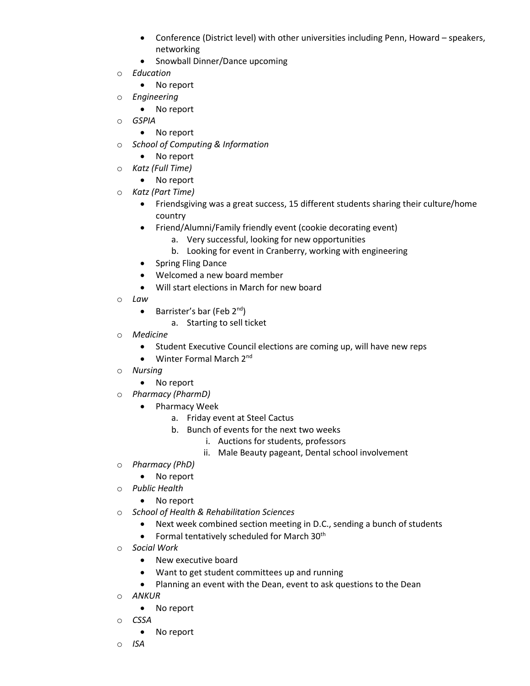- Conference (District level) with other universities including Penn, Howard speakers, networking
- Snowball Dinner/Dance upcoming
- o *Education*
	- No report
- o *Engineering*
	- No report
- o *GSPIA*
	- No report
- o *School of Computing & Information*
	- No report
- o *Katz (Full Time)*
	- No report
- o *Katz (Part Time)*
	- Friendsgiving was a great success, 15 different students sharing their culture/home country
	- Friend/Alumni/Family friendly event (cookie decorating event)
		- a. Very successful, looking for new opportunities
		- b. Looking for event in Cranberry, working with engineering
	- Spring Fling Dance
	- Welcomed a new board member
	- Will start elections in March for new board
- o *Law*
	- Barrister's bar (Feb  $2^{nd}$ )
		- a. Starting to sell ticket
- o *Medicine*
	- Student Executive Council elections are coming up, will have new reps
	- $\bullet$  Winter Formal March 2<sup>nd</sup>
- o *Nursing* 
	- No report
- o *Pharmacy (PharmD)*
	- Pharmacy Week
		- a. Friday event at Steel Cactus
		- b. Bunch of events for the next two weeks
			- i. Auctions for students, professors
			- ii. Male Beauty pageant, Dental school involvement
- o *Pharmacy (PhD)*
	- No report
- o *Public Health*
	- No report
- o *School of Health & Rehabilitation Sciences*
	- Next week combined section meeting in D.C., sending a bunch of students
	- Formal tentatively scheduled for March  $30<sup>th</sup>$
- o *Social Work*
	- New executive board
	- Want to get student committees up and running
	- Planning an event with the Dean, event to ask questions to the Dean
- o *ANKUR*
	- No report
- o *CSSA* 
	- No report
- o *ISA*